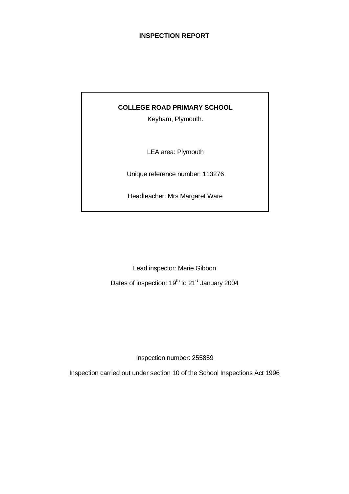## **INSPECTION REPORT**

## **COLLEGE ROAD PRIMARY SCHOOL**

Keyham, Plymouth.

LEA area: Plymouth

Unique reference number: 113276

Headteacher: Mrs Margaret Ware

Lead inspector: Marie Gibbon

Dates of inspection: 19<sup>th</sup> to 21<sup>st</sup> January 2004

Inspection number: 255859

Inspection carried out under section 10 of the School Inspections Act 1996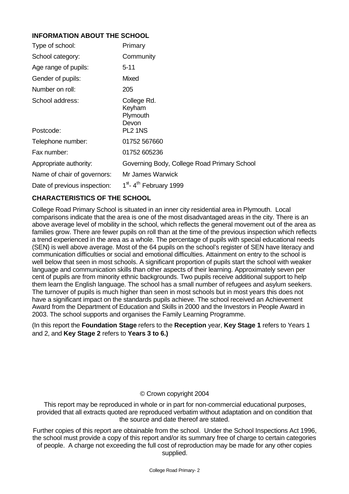# **INFORMATION ABOUT THE SCHOOL**

| Type of school:              | Primary                                               |
|------------------------------|-------------------------------------------------------|
| School category:             | Community                                             |
| Age range of pupils:         | 5-11                                                  |
| Gender of pupils:            | <b>Mixed</b>                                          |
| Number on roll:              | 205                                                   |
| School address:<br>Postcode: | College Rd.<br>Keyham<br>Plymouth<br>Devon<br>PL2 1NS |
| Telephone number:            | 01752 567660                                          |
| Fax number:                  | 01752 605236                                          |
| Appropriate authority:       | Governing Body, College Road Primary School           |
| Name of chair of governors:  | Mr James Warwick                                      |
| Date of previous inspection: | 1 <sup>st</sup> -4 <sup>th</sup> February 1999        |

# **CHARACTERISTICS OF THE SCHOOL**

College Road Primary School is situated in an inner city residential area in Plymouth. Local comparisons indicate that the area is one of the most disadvantaged areas in the city. There is an above average level of mobility in the school, which reflects the general movement out of the area as families grow. There are fewer pupils on roll than at the time of the previous inspection which reflects a trend experienced in the area as a whole. The percentage of pupils with special educational needs (SEN) is well above average. Most of the 64 pupils on the school's register of SEN have literacy and communication difficulties or social and emotional difficulties. Attainment on entry to the school is well below that seen in most schools. A significant proportion of pupils start the school with weaker language and communication skills than other aspects of their learning. Approximately seven per cent of pupils are from minority ethnic backgrounds. Two pupils receive additional support to help them learn the English language. The school has a small number of refugees and asylum seekers. The turnover of pupils is much higher than seen in most schools but in most years this does not have a significant impact on the standards pupils achieve. The school received an Achievement Award from the Department of Education and Skills in 2000 and the Investors in People Award in 2003. The school supports and organises the Family Learning Programme.

(In this report the **Foundation Stage** refers to the **Reception** year, **Key Stage 1** refers to Years 1 and 2, and **Key Stage 2** refers to **Years 3 to 6.)**

## © Crown copyright 2004

This report may be reproduced in whole or in part for non-commercial educational purposes, provided that all extracts quoted are reproduced verbatim without adaptation and on condition that the source and date thereof are stated.

Further copies of this report are obtainable from the school. Under the School Inspections Act 1996, the school must provide a copy of this report and/or its summary free of charge to certain categories of people. A charge not exceeding the full cost of reproduction may be made for any other copies supplied.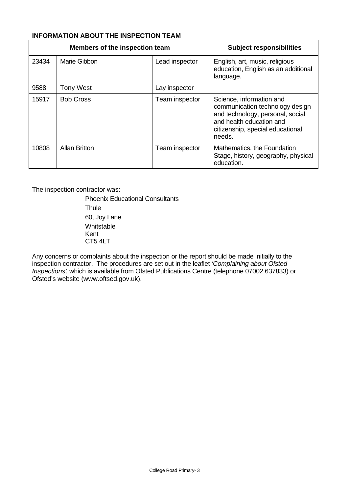# **INFORMATION ABOUT THE INSPECTION TEAM**

| Members of the inspection team |                      |                | <b>Subject responsibilities</b>                                                                                                                                           |
|--------------------------------|----------------------|----------------|---------------------------------------------------------------------------------------------------------------------------------------------------------------------------|
| 23434                          | Marie Gibbon         | Lead inspector | English, art, music, religious<br>education, English as an additional<br>language.                                                                                        |
| 9588                           | <b>Tony West</b>     | Lay inspector  |                                                                                                                                                                           |
| 15917                          | <b>Bob Cross</b>     | Team inspector | Science, information and<br>communication technology design<br>and technology, personal, social<br>and health education and<br>citizenship, special educational<br>needs. |
| 10808                          | <b>Allan Britton</b> | Team inspector | Mathematics, the Foundation<br>Stage, history, geography, physical<br>education.                                                                                          |

The inspection contractor was:

Phoenix Educational Consultants **Thule** 60, Joy Lane **Whitstable** Kent CT5 4LT

Any concerns or complaints about the inspection or the report should be made initially to the inspection contractor. The procedures are set out in the leaflet *'Complaining about Ofsted Inspections'*, which is available from Ofsted Publications Centre (telephone 07002 637833) or Ofsted's website (www.oftsed.gov.uk).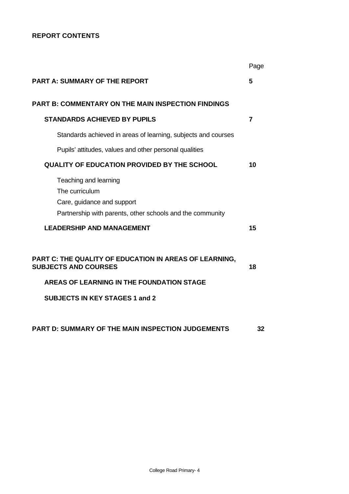# **REPORT CONTENTS**

|                                                                                                                                                                        | Page           |
|------------------------------------------------------------------------------------------------------------------------------------------------------------------------|----------------|
| <b>PART A: SUMMARY OF THE REPORT</b>                                                                                                                                   | 5              |
| <b>PART B: COMMENTARY ON THE MAIN INSPECTION FINDINGS</b>                                                                                                              |                |
| <b>STANDARDS ACHIEVED BY PUPILS</b>                                                                                                                                    | $\overline{7}$ |
| Standards achieved in areas of learning, subjects and courses                                                                                                          |                |
| Pupils' attitudes, values and other personal qualities                                                                                                                 |                |
| <b>QUALITY OF EDUCATION PROVIDED BY THE SCHOOL</b>                                                                                                                     | 10             |
| Teaching and learning<br>The curriculum<br>Care, guidance and support<br>Partnership with parents, other schools and the community<br><b>LEADERSHIP AND MANAGEMENT</b> | 15             |
|                                                                                                                                                                        |                |
| PART C: THE QUALITY OF EDUCATION IN AREAS OF LEARNING,<br><b>SUBJECTS AND COURSES</b>                                                                                  | 18             |
| AREAS OF LEARNING IN THE FOUNDATION STAGE                                                                                                                              |                |
| <b>SUBJECTS IN KEY STAGES 1 and 2</b>                                                                                                                                  |                |
|                                                                                                                                                                        |                |
| <b>PART D: SUMMARY OF THE MAIN INSPECTION JUDGEMENTS</b>                                                                                                               | 32             |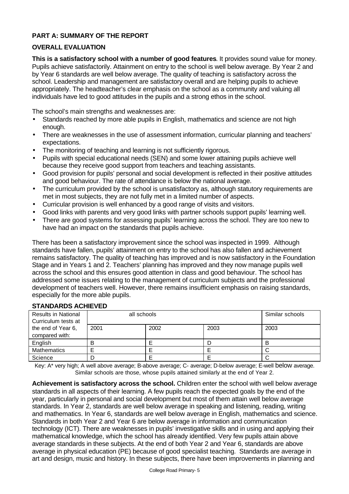# **PART A: SUMMARY OF THE REPORT**

## **OVERALL EVALUATION**

**This is a satisfactory school with a number of good features**. It provides sound value for money. Pupils achieve satisfactorily. Attainment on entry to the school is well below average. By Year 2 and by Year 6 standards are well below average. The quality of teaching is satisfactory across the school. Leadership and management are satisfactory overall and are helping pupils to achieve appropriately. The headteacher's clear emphasis on the school as a community and valuing all individuals have led to good attitudes in the pupils and a strong ethos in the school.

The school's main strengths and weaknesses are:

- Standards reached by more able pupils in English, mathematics and science are not high enough.
- There are weaknesses in the use of assessment information, curricular planning and teachers' expectations.
- The monitoring of teaching and learning is not sufficiently rigorous.
- Pupils with special educational needs (SEN) and some lower attaining pupils achieve well because they receive good support from teachers and teaching assistants.
- Good provision for pupils' personal and social development is reflected in their positive attitudes and good behaviour. The rate of attendance is below the national average.
- The curriculum provided by the school is unsatisfactory as, although statutory requirements are met in most subjects, they are not fully met in a limited number of aspects.
- Curricular provision is well enhanced by a good range of visits and visitors.
- Good links with parents and very good links with partner schools support pupils' learning well.
- There are good systems for assessing pupils' learning across the school. They are too new to have had an impact on the standards that pupils achieve.

There has been a satisfactory improvement since the school was inspected in 1999. Although standards have fallen, pupils' attainment on entry to the school has also fallen and achievement remains satisfactory. The quality of teaching has improved and is now satisfactory in the Foundation Stage and in Years 1 and 2. Teachers' planning has improved and they now manage pupils well across the school and this ensures good attention in class and good behaviour. The school has addressed some issues relating to the management of curriculum subjects and the professional development of teachers well. However, there remains insufficient emphasis on raising standards, especially for the more able pupils.

| <u> 9   ANDAN DU AVI IIL 1 LD</u>                 |             |                 |      |      |
|---------------------------------------------------|-------------|-----------------|------|------|
| <b>Results in National</b><br>Curriculum tests at | all schools | Similar schools |      |      |
| the end of Year 6,<br>compared with:              | 2001        | 2002            | 2003 | 2003 |
| English                                           | в           |                 |      |      |
| Mathematics                                       |             |                 |      |      |
| Science                                           |             |                 |      |      |

# **STANDARDS ACHIEVED**

Key: A\* very high; A well above average; B-above average; C- average; D-below average; E-well below average. Similar schools are those, whose pupils attained similarly at the end of Year 2.

**Achievement is satisfactory across the school.** Children enter the school with well below average standards in all aspects of their learning. A few pupils reach the expected goals by the end of the year, particularly in personal and social development but most of them attain well below average standards. In Year 2, standards are well below average in speaking and listening, reading, writing and mathematics. In Year 6, standards are well below average in English, mathematics and science. Standards in both Year 2 and Year 6 are below average in information and communication technology (ICT). There are weaknesses in pupils' investigative skills and in using and applying their mathematical knowledge, which the school has already identified. Very few pupils attain above average standards in these subjects. At the end of both Year 2 and Year 6, standards are above average in physical education (PE) because of good specialist teaching. Standards are average in art and design, music and history. In these subjects, there have been improvements in planning and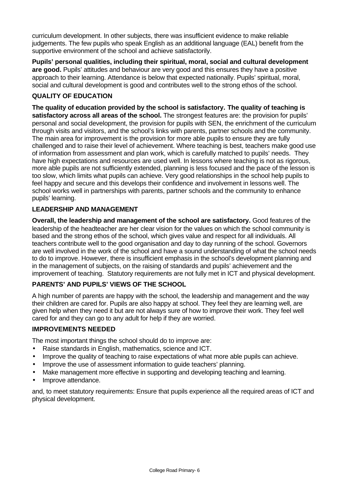curriculum development. In other subjects, there was insufficient evidence to make reliable judgements. The few pupils who speak English as an additional language (EAL) benefit from the supportive environment of the school and achieve satisfactorily.

**Pupils' personal qualities, including their spiritual, moral, social and cultural development are good.** Pupils' attitudes and behaviour are very good and this ensures they have a positive approach to their learning. Attendance is below that expected nationally. Pupils' spiritual, moral, social and cultural development is good and contributes well to the strong ethos of the school.

## **QUALITY OF EDUCATION**

**The quality of education provided by the school is satisfactory. The quality of teaching is satisfactory across all areas of the school.** The strongest features are: the provision for pupils' personal and social development, the provision for pupils with SEN, the enrichment of the curriculum through visits and visitors, and the school's links with parents, partner schools and the community. The main area for improvement is the provision for more able pupils to ensure they are fully challenged and to raise their level of achievement. Where teaching is best, teachers make good use of information from assessment and plan work, which is carefully matched to pupils' needs. They have high expectations and resources are used well. In lessons where teaching is not as rigorous, more able pupils are not sufficiently extended, planning is less focused and the pace of the lesson is too slow, which limits what pupils can achieve. Very good relationships in the school help pupils to feel happy and secure and this develops their confidence and involvement in lessons well. The school works well in partnerships with parents, partner schools and the community to enhance pupils' learning.

## **LEADERSHIP AND MANAGEMENT**

**Overall, the leadership and management of the school are satisfactory.** Good features of the leadership of the headteacher are her clear vision for the values on which the school community is based and the strong ethos of the school, which gives value and respect for all individuals. All teachers contribute well to the good organisation and day to day running of the school. Governors are well involved in the work of the school and have a sound understanding of what the school needs to do to improve. However, there is insufficient emphasis in the school's development planning and in the management of subjects, on the raising of standards and pupils' achievement and the improvement of teaching. Statutory requirements are not fully met in ICT and physical development.

# **PARENTS' AND PUPILS' VIEWS OF THE SCHOOL**

A high number of parents are happy with the school, the leadership and management and the way their children are cared for. Pupils are also happy at school. They feel they are learning well, are given help when they need it but are not always sure of how to improve their work. They feel well cared for and they can go to any adult for help if they are worried.

## **IMPROVEMENTS NEEDED**

The most important things the school should do to improve are:

- Raise standards in English, mathematics, science and ICT.
- Improve the quality of teaching to raise expectations of what more able pupils can achieve.
- Improve the use of assessment information to quide teachers' planning.
- Make management more effective in supporting and developing teaching and learning.
- Improve attendance.

and, to meet statutory requirements: Ensure that pupils experience all the required areas of ICT and physical development.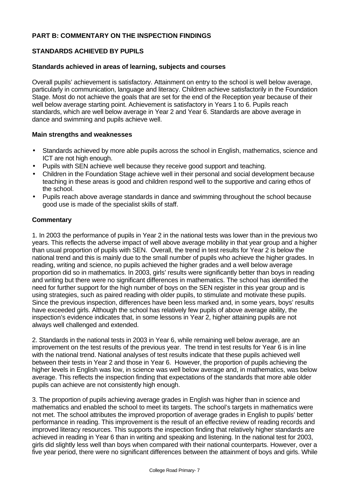## **PART B: COMMENTARY ON THE INSPECTION FINDINGS**

## **STANDARDS ACHIEVED BY PUPILS**

#### **Standards achieved in areas of learning, subjects and courses**

Overall pupils' achievement is satisfactory. Attainment on entry to the school is well below average, particularly in communication, language and literacy. Children achieve satisfactorily in the Foundation Stage. Most do not achieve the goals that are set for the end of the Reception year because of their well below average starting point. Achievement is satisfactory in Years 1 to 6. Pupils reach standards, which are well below average in Year 2 and Year 6. Standards are above average in dance and swimming and pupils achieve well.

#### **Main strengths and weaknesses**

- **·** Standards achieved by more able pupils across the school in English, mathematics, science and ICT are not high enough.
- Pupils with SEN achieve well because they receive good support and teaching.
- Children in the Foundation Stage achieve well in their personal and social development because teaching in these areas is good and children respond well to the supportive and caring ethos of the school.
- Pupils reach above average standards in dance and swimming throughout the school because good use is made of the specialist skills of staff.

## **Commentary**

1. In 2003 the performance of pupils in Year 2 in the national tests was lower than in the previous two years. This reflects the adverse impact of well above average mobility in that year group and a higher than usual proportion of pupils with SEN. Overall, the trend in test results for Year 2 is below the national trend and this is mainly due to the small number of pupils who achieve the higher grades. In reading, writing and science, no pupils achieved the higher grades and a well below average proportion did so in mathematics. In 2003, girls' results were significantly better than boys in reading and writing but there were no significant differences in mathematics. The school has identified the need for further support for the high number of boys on the SEN register in this year group and is using strategies, such as paired reading with older pupils, to stimulate and motivate these pupils. Since the previous inspection, differences have been less marked and, in some years, boys' results have exceeded girls. Although the school has relatively few pupils of above average ability, the inspection's evidence indicates that, in some lessons in Year 2, higher attaining pupils are not always well challenged and extended.

2. Standards in the national tests in 2003 in Year 6, while remaining well below average, are an improvement on the test results of the previous year. The trend in test results for Year 6 is in line with the national trend. National analyses of test results indicate that these pupils achieved well between their tests in Year 2 and those in Year 6. However, the proportion of pupils achieving the higher levels in English was low, in science was well below average and, in mathematics, was below average. This reflects the inspection finding that expectations of the standards that more able older pupils can achieve are not consistently high enough.

3. The proportion of pupils achieving average grades in English was higher than in science and mathematics and enabled the school to meet its targets. The school's targets in mathematics were not met. The school attributes the improved proportion of average grades in English to pupils' better performance in reading. This improvement is the result of an effective review of reading records and improved literacy resources. This supports the inspection finding that relatively higher standards are achieved in reading in Year 6 than in writing and speaking and listening. In the national test for 2003, girls did slightly less well than boys when compared with their national counterparts. However, over a five year period, there were no significant differences between the attainment of boys and girls. While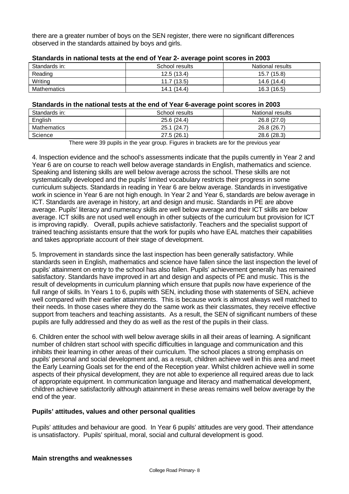there are a greater number of boys on the SEN register, there were no significant differences observed in the standards attained by boys and girls.

| Standards in: | School results | National results |  |  |  |  |  |
|---------------|----------------|------------------|--|--|--|--|--|
| Reading       | 12.5(13.4)     | 15.7 (15.8)      |  |  |  |  |  |
| Writing       | 11.7(13.5)     | 14.6 (14.4)      |  |  |  |  |  |
| Mathematics   | 14.1(14.4)     | 16.3(16.5)       |  |  |  |  |  |

## **Standards in national tests at the end of Year 2- average point scores in 2003**

#### **Standards in the national tests at the end of Year 6-average point scores in 2003**

| Standards in: | School results | National results |
|---------------|----------------|------------------|
| English       | 25.6(24.4)     | 26.8(27.0)       |
| Mathematics   | 25.1(24.7)     | 26.8(26.7)       |
| Science       | 27.5 (26.1)    | 28.6 (28.3)      |

There were 39 pupils in the year group. Figures in brackets are for the previous year

4. Inspection evidence and the school's assessments indicate that the pupils currently in Year 2 and Year 6 are on course to reach well below average standards in English, mathematics and science. Speaking and listening skills are well below average across the school. These skills are not systematically developed and the pupils' limited vocabulary restricts their progress in some curriculum subjects. Standards in reading in Year 6 are below average. Standards in investigative work in science in Year 6 are not high enough. In Year 2 and Year 6, standards are below average in ICT. Standards are average in history, art and design and music. Standards in PE are above average. Pupils' literacy and numeracy skills are well below average and their ICT skills are below average. ICT skills are not used well enough in other subjects of the curriculum but provision for ICT is improving rapidly. Overall, pupils achieve satisfactorily. Teachers and the specialist support of trained teaching assistants ensure that the work for pupils who have EAL matches their capabilities and takes appropriate account of their stage of development.

5. Improvement in standards since the last inspection has been generally satisfactory. While standards seen in English, mathematics and science have fallen since the last inspection the level of pupils' attainment on entry to the school has also fallen. Pupils' achievement generally has remained satisfactory. Standards have improved in art and design and aspects of PE and music. This is the result of developments in curriculum planning which ensure that pupils now have experience of the full range of skills. In Years 1 to 6, pupils with SEN, including those with statements of SEN, achieve well compared with their earlier attainments. This is because work is almost always well matched to their needs. In those cases where they do the same work as their classmates, they receive effective support from teachers and teaching assistants. As a result, the SEN of significant numbers of these pupils are fully addressed and they do as well as the rest of the pupils in their class.

6. Children enter the school with well below average skills in all their areas of learning. A significant number of children start school with specific difficulties in language and communication and this inhibits their learning in other areas of their curriculum. The school places a strong emphasis on pupils' personal and social development and, as a result, children achieve well in this area and meet the Early Learning Goals set for the end of the Reception year. Whilst children achieve well in some aspects of their physical development, they are not able to experience all required areas due to lack of appropriate equipment. In communication language and literacy and mathematical development, children achieve satisfactorily although attainment in these areas remains well below average by the end of the year.

## **Pupils' attitudes, values and other personal qualities**

Pupils' attitudes and behaviour are good. In Year 6 pupils' attitudes are very good. Their attendance is unsatisfactory. Pupils' spiritual, moral, social and cultural development is good.

## **Main strengths and weaknesses**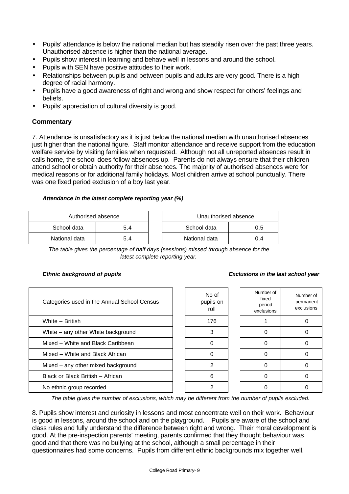- Pupils' attendance is below the national median but has steadily risen over the past three years. Unauthorised absence is higher than the national average.
- Pupils show interest in learning and behave well in lessons and around the school.
- Pupils with SEN have positive attitudes to their work.
- Relationships between pupils and between pupils and adults are very good. There is a high degree of racial harmony.
- Pupils have a good awareness of right and wrong and show respect for others' feelings and beliefs.
- Pupils' appreciation of cultural diversity is good.

## **Commentary**

7. Attendance is unsatisfactory as it is just below the national median with unauthorised absences just higher than the national figure. Staff monitor attendance and receive support from the education welfare service by visiting families when requested. Although not all unreported absences result in calls home, the school does follow absences up. Parents do not always ensure that their children attend school or obtain authority for their absences. The majority of authorised absences were for medical reasons or for additional family holidays. Most children arrive at school punctually. There was one fixed period exclusion of a boy last year.

#### *Attendance in the latest complete reporting year (%)*

| Authorised absence |     |  | Unauthorised absence |     |
|--------------------|-----|--|----------------------|-----|
| School data        | 5.4 |  | School data          | 0.5 |
| National data      | 5.4 |  | National data        | 0.4 |

*The table gives the percentage of half days (sessions) missed through absence for the latest complete reporting year.*

#### *Ethnic background of pupils Exclusions in the last school year*

| Categories used in the Annual School Census | No of<br>pupils on<br>roll | Number of<br>fixed<br>period<br>exclusions | Numb<br>perma<br>exclus |
|---------------------------------------------|----------------------------|--------------------------------------------|-------------------------|
| White - British                             | 176                        |                                            |                         |
| White - any other White background          | 3                          |                                            |                         |
| Mixed - White and Black Caribbean           | 0                          |                                            |                         |
| Mixed – White and Black African             | 0                          |                                            |                         |
| Mixed - any other mixed background          | 2                          |                                            |                         |
| Black or Black British - African            | 6                          |                                            |                         |
| No ethnic group recorded                    | 2                          |                                            |                         |

| No of<br>pupils on<br>roll | Number of<br>fixed<br>period<br>exclusions | Number of<br>permanent<br>exclusions |
|----------------------------|--------------------------------------------|--------------------------------------|
| 176                        |                                            |                                      |
| 3                          |                                            | 0                                    |
| ∩                          |                                            | O                                    |
|                            |                                            | n                                    |
| $\overline{2}$             |                                            |                                      |
| 6                          |                                            |                                      |
| 2                          |                                            |                                      |

*The table gives the number of exclusions, which may be different from the number of pupils excluded.*

8. Pupils show interest and curiosity in lessons and most concentrate well on their work. Behaviour is good in lessons, around the school and on the playground. Pupils are aware of the school and class rules and fully understand the difference between right and wrong. Their moral development is good. At the pre-inspection parents' meeting, parents confirmed that they thought behaviour was good and that there was no bullying at the school, although a small percentage in their questionnaires had some concerns. Pupils from different ethnic backgrounds mix together well.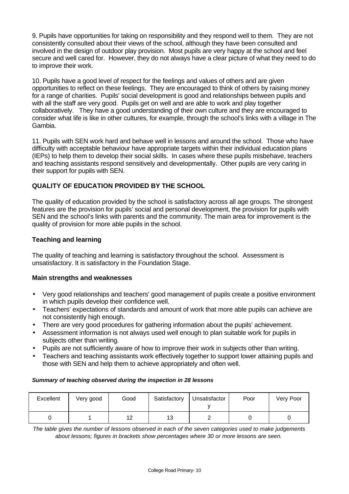9. Pupils have opportunities for taking on responsibility and they respond well to them. They are not consistently consulted about their views of the school, although they have been consulted and involved in the design of outdoor play provision. Most pupils are very happy at the school and feel secure and well cared for. However, they do not always have a clear picture of what they need to do to improve their work.

10. Pupils have a good level of respect for the feelings and values of others and are given opportunities to reflect on these feelings. They are encouraged to think of others by raising money for a range of charities. Pupils' social development is good and relationships between pupils and with all the staff are very good. Pupils get on well and are able to work and play together collaboratively. They have a good understanding of their own culture and they are encouraged to consider what life is like in other cultures, for example, through the school's links with a village in The Gambia.

11. Pupils with SEN work hard and behave well in lessons and around the school. Those who have difficulty with acceptable behaviour have appropriate targets within their individual education plans (IEPs) to help them to develop their social skills. In cases where these pupils misbehave, teachers and teaching assistants respond sensitively and developmentally. Other pupils are very caring in their support for pupils with SEN.

# **QUALITY OF EDUCATION PROVIDED BY THE SCHOOL**

The quality of education provided by the school is satisfactory across all age groups. The strongest features are the provision for pupils' social and personal development, the provision for pupils with SEN and the school's links with parents and the community. The main area for improvement is the quality of provision for more able pupils in the school.

## **Teaching and learning**

The quality of teaching and learning is satisfactory throughout the school. Assessment is unsatisfactory. It is satisfactory in the Foundation Stage.

## **Main strengths and weaknesses**

- Very good relationships and teachers' good management of pupils create a positive environment in which pupils develop their confidence well.
- Teachers' expectations of standards and amount of work that more able pupils can achieve are not consistently high enough.
- There are very good procedures for gathering information about the pupils' achievement.
- Assessment information is not always used well enough to plan suitable work for pupils in subjects other than writing.
- Pupils are not sufficiently aware of how to improve their work in subjects other than writing.
- Teachers and teaching assistants work effectively together to support lower attaining pupils and those with SEN and help them to achieve appropriately and often well.

#### *Summary of teaching observed during the inspection in 28 lessons*

| Excellent | Very good | Good      | Satisfactory | Unsatisfactor | Poor | Very Poor |
|-----------|-----------|-----------|--------------|---------------|------|-----------|
|           |           | 10<br>' 4 | 13           |               |      |           |

*The table gives the number of lessons observed in each of the seven categories used to make judgements about lessons; figures in brackets show percentages where 30 or more lessons are seen.*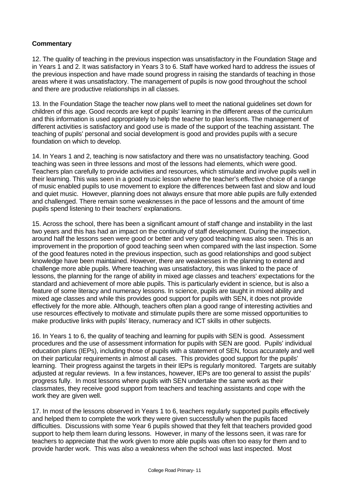## **Commentary**

12. The quality of teaching in the previous inspection was unsatisfactory in the Foundation Stage and in Years 1 and 2. It was satisfactory in Years 3 to 6. Staff have worked hard to address the issues of the previous inspection and have made sound progress in raising the standards of teaching in those areas where it was unsatisfactory. The management of pupils is now good throughout the school and there are productive relationships in all classes.

13. In the Foundation Stage the teacher now plans well to meet the national guidelines set down for children of this age. Good records are kept of pupils' learning in the different areas of the curriculum and this information is used appropriately to help the teacher to plan lessons. The management of different activities is satisfactory and good use is made of the support of the teaching assistant. The teaching of pupils' personal and social development is good and provides pupils with a secure foundation on which to develop.

14. In Years 1 and 2, teaching is now satisfactory and there was no unsatisfactory teaching. Good teaching was seen in three lessons and most of the lessons had elements, which were good. Teachers plan carefully to provide activities and resources, which stimulate and involve pupils well in their learning. This was seen in a good music lesson where the teacher's effective choice of a range of music enabled pupils to use movement to explore the differences between fast and slow and loud and quiet music. However, planning does not always ensure that more able pupils are fully extended and challenged. There remain some weaknesses in the pace of lessons and the amount of time pupils spend listening to their teachers' explanations.

15. Across the school, there has been a significant amount of staff change and instability in the last two years and this has had an impact on the continuity of staff development. During the inspection, around half the lessons seen were good or better and very good teaching was also seen. This is an improvement in the proportion of good teaching seen when compared with the last inspection. Some of the good features noted in the previous inspection, such as good relationships and good subject knowledge have been maintained. However, there are weaknesses in the planning to extend and challenge more able pupils. Where teaching was unsatisfactory, this was linked to the pace of lessons, the planning for the range of ability in mixed age classes and teachers' expectations for the standard and achievement of more able pupils. This is particularly evident in science, but is also a feature of some literacy and numeracy lessons. In science, pupils are taught in mixed ability and mixed age classes and while this provides good support for pupils with SEN, it does not provide effectively for the more able. Although, teachers often plan a good range of interesting activities and use resources effectively to motivate and stimulate pupils there are some missed opportunities to make productive links with pupils' literacy, numeracy and ICT skills in other subjects.

16. In Years 1 to 6, the quality of teaching and learning for pupils with SEN is good. Assessment procedures and the use of assessment information for pupils with SEN are good. Pupils' individual education plans (IEPs), including those of pupils with a statement of SEN, focus accurately and well on their particular requirements in almost all cases. This provides good support for the pupils' learning. Their progress against the targets in their IEPs is regularly monitored. Targets are suitably adjusted at regular reviews. In a few instances, however, IEPs are too general to assist the pupils' progress fully. In most lessons where pupils with SEN undertake the same work as their classmates, they receive good support from teachers and teaching assistants and cope with the work they are given well.

17. In most of the lessons observed in Years 1 to 6, teachers regularly supported pupils effectively and helped them to complete the work they were given successfully when the pupils faced difficulties. Discussions with some Year 6 pupils showed that they felt that teachers provided good support to help them learn during lessons. However, in many of the lessons seen, it was rare for teachers to appreciate that the work given to more able pupils was often too easy for them and to provide harder work. This was also a weakness when the school was last inspected. Most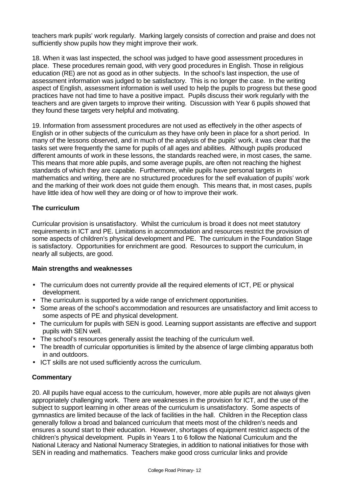teachers mark pupils' work regularly. Marking largely consists of correction and praise and does not sufficiently show pupils how they might improve their work.

18. When it was last inspected, the school was judged to have good assessment procedures in place. These procedures remain good, with very good procedures in English. Those in religious education (RE) are not as good as in other subjects. In the school's last inspection, the use of assessment information was judged to be satisfactory. This is no longer the case. In the writing aspect of English, assessment information is well used to help the pupils to progress but these good practices have not had time to have a positive impact. Pupils discuss their work regularly with the teachers and are given targets to improve their writing. Discussion with Year 6 pupils showed that they found these targets very helpful and motivating.

19. Information from assessment procedures are not used as effectively in the other aspects of English or in other subjects of the curriculum as they have only been in place for a short period. In many of the lessons observed, and in much of the analysis of the pupils' work, it was clear that the tasks set were frequently the same for pupils of all ages and abilities. Although pupils produced different amounts of work in these lessons, the standards reached were, in most cases, the same. This means that more able pupils, and some average pupils, are often not reaching the highest standards of which they are capable. Furthermore, while pupils have personal targets in mathematics and writing, there are no structured procedures for the self evaluation of pupils' work and the marking of their work does not guide them enough. This means that, in most cases, pupils have little idea of how well they are doing or of how to improve their work.

## **The curriculum**

Curricular provision is unsatisfactory. Whilst the curriculum is broad it does not meet statutory requirements in ICT and PE. Limitations in accommodation and resources restrict the provision of some aspects of children's physical development and PE. The curriculum in the Foundation Stage is satisfactory. Opportunities for enrichment are good. Resources to support the curriculum, in nearly all subjects, are good.

## **Main strengths and weaknesses**

- The curriculum does not currently provide all the required elements of ICT, PE or physical development.
- The curriculum is supported by a wide range of enrichment opportunities.
- Some areas of the school's accommodation and resources are unsatisfactory and limit access to some aspects of PE and physical development.
- The curriculum for pupils with SEN is good. Learning support assistants are effective and support pupils with SEN well.
- The school's resources generally assist the teaching of the curriculum well.
- The breadth of curricular opportunities is limited by the absence of large climbing apparatus both in and outdoors.
- ICT skills are not used sufficiently across the curriculum.

## **Commentary**

20. All pupils have equal access to the curriculum, however, more able pupils are not always given appropriately challenging work. There are weaknesses in the provision for ICT, and the use of the subject to support learning in other areas of the curriculum is unsatisfactory. Some aspects of gymnastics are limited because of the lack of facilities in the hall. Children in the Reception class generally follow a broad and balanced curriculum that meets most of the children's needs and ensures a sound start to their education. However, shortages of equipment restrict aspects of the children's physical development. Pupils in Years 1 to 6 follow the National Curriculum and the National Literacy and National Numeracy Strategies, in addition to national initiatives for those with SEN in reading and mathematics. Teachers make good cross curricular links and provide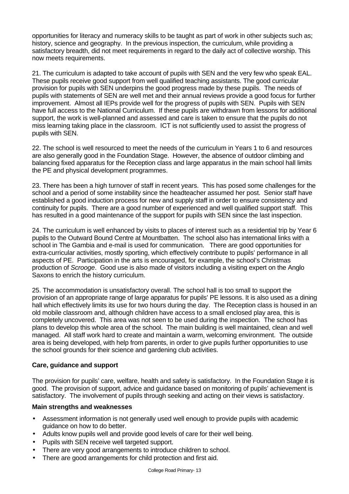opportunities for literacy and numeracy skills to be taught as part of work in other subjects such as; history, science and geography. In the previous inspection, the curriculum, while providing a satisfactory breadth, did not meet requirements in regard to the daily act of collective worship. This now meets requirements.

21. The curriculum is adapted to take account of pupils with SEN and the very few who speak EAL. These pupils receive good support from well qualified teaching assistants. The good curricular provision for pupils with SEN underpins the good progress made by these pupils. The needs of pupils with statements of SEN are well met and their annual reviews provide a good focus for further improvement. Almost all IEPs provide well for the progress of pupils with SEN. Pupils with SEN have full access to the National Curriculum. If these pupils are withdrawn from lessons for additional support, the work is well-planned and assessed and care is taken to ensure that the pupils do not miss learning taking place in the classroom. ICT is not sufficiently used to assist the progress of pupils with SEN.

22. The school is well resourced to meet the needs of the curriculum in Years 1 to 6 and resources are also generally good in the Foundation Stage. However, the absence of outdoor climbing and balancing fixed apparatus for the Reception class and large apparatus in the main school hall limits the PE and physical development programmes.

23. There has been a high turnover of staff in recent years. This has posed some challenges for the school and a period of some instability since the headteacher assumed her post. Senior staff have established a good induction process for new and supply staff in order to ensure consistency and continuity for pupils. There are a good number of experienced and well qualified support staff. This has resulted in a good maintenance of the support for pupils with SEN since the last inspection.

24. The curriculum is well enhanced by visits to places of interest such as a residential trip by Year 6 pupils to the Outward Bound Centre at Mountbatten. The school also has international links with a school in The Gambia and e-mail is used for communication. There are good opportunities for extra-curricular activities, mostly sporting, which effectively contribute to pupils' performance in all aspects of PE. Participation in the arts is encouraged, for example, the school's Christmas production of *Scrooge*. Good use is also made of visitors including a visiting expert on the Anglo Saxons to enrich the history curriculum.

25. The accommodation is unsatisfactory overall. The school hall is too small to support the provision of an appropriate range of large apparatus for pupils' PE lessons. It is also used as a dining hall which effectively limits its use for two hours during the day. The Reception class is housed in an old mobile classroom and, although children have access to a small enclosed play area, this is completely uncovered. This area was not seen to be used during the inspection. The school has plans to develop this whole area of the school. The main building is well maintained, clean and well managed. All staff work hard to create and maintain a warm, welcoming environment. The outside area is being developed, with help from parents, in order to give pupils further opportunities to use the school grounds for their science and gardening club activities.

## **Care, guidance and support**

The provision for pupils' care, welfare, health and safety is satisfactory. In the Foundation Stage it is good. The provision of support, advice and guidance based on monitoring of pupils' achievement is satisfactory. The involvement of pupils through seeking and acting on their views is satisfactory.

## **Main strengths and weaknesses**

- Assessment information is not generally used well enough to provide pupils with academic guidance on how to do better.
- Adults know pupils well and provide good levels of care for their well being.
- Pupils with SEN receive well targeted support.
- There are very good arrangements to introduce children to school.
- There are good arrangements for child protection and first aid.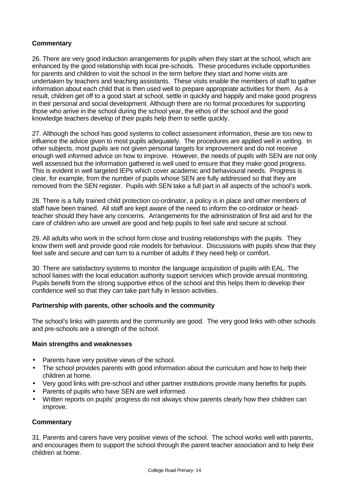## **Commentary**

26. There are very good induction arrangements for pupils when they start at the school, which are enhanced by the good relationship with local pre-schools. These procedures include opportunities for parents and children to visit the school in the term before they start and home visits are undertaken by teachers and teaching assistants. These visits enable the members of staff to gather information about each child that is then used well to prepare appropriate activities for them. As a result, children get off to a good start at school, settle in quickly and happily and make good progress in their personal and social development. Although there are no formal procedures for supporting those who arrive in the school during the school year, the ethos of the school and the good knowledge teachers develop of their pupils help them to settle quickly.

27. Although the school has good systems to collect assessment information, these are too new to influence the advice given to most pupils adequately. The procedures are applied well in writing. In other subjects, most pupils are not given personal targets for improvement and do not receive enough well informed advice on how to improve. However, the needs of pupils with SEN are not only well assessed but the information gathered is well used to ensure that they make good progress. This is evident in well targeted IEPs which cover academic and behavioural needs. Progress is clear, for example, from the number of pupils whose SEN are fully addressed so that they are removed from the SEN register. Pupils with SEN take a full part in all aspects of the school's work.

28. There is a fully trained child protection co-ordinator, a policy is in place and other members of staff have been trained. All staff are kept aware of the need to inform the co-ordinator or headteacher should they have any concerns. Arrangements for the administration of first aid and for the care of children who are unwell are good and help pupils to feel safe and secure at school.

29. All adults who work in the school form close and trusting relationships with the pupils. They know them well and provide good role models for behaviour. Discussions with pupils show that they feel safe and secure and can turn to a number of adults if they need help or comfort.

30. There are satisfactory systems to monitor the language acquisition of pupils with EAL. The school liaises with the local education authority support services which provide annual monitoring. Pupils benefit from the strong supportive ethos of the school and this helps them to develop their confidence well so that they can take part fully in lesson activities.

## **Partnership with parents, other schools and the community**

The school's links with parents and the community are good. The very good links with other schools and pre-schools are a strength of the school.

## **Main strengths and weaknesses**

- Parents have very positive views of the school.
- The school provides parents with good information about the curriculum and how to help their children at home.
- Very good links with pre-school and other partner institutions provide many benefits for pupils.
- Parents of pupils who have SEN are well informed.
- Written reports on pupils' progress do not always show parents clearly how their children can improve.

## **Commentary**

31. Parents and carers have very positive views of the school. The school works well with parents, and encourages them to support the school through the parent teacher association and to help their children at home.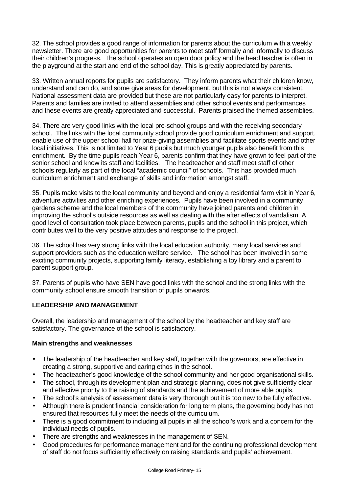32. The school provides a good range of information for parents about the curriculum with a weekly newsletter. There are good opportunities for parents to meet staff formally and informally to discuss their children's progress. The school operates an open door policy and the head teacher is often in the playground at the start and end of the school day. This is greatly appreciated by parents.

33. Written annual reports for pupils are satisfactory. They inform parents what their children know, understand and can do, and some give areas for development, but this is not always consistent. National assessment data are provided but these are not particularly easy for parents to interpret. Parents and families are invited to attend assemblies and other school events and performances and these events are greatly appreciated and successful. Parents praised the themed assemblies.

34. There are very good links with the local pre-school groups and with the receiving secondary school. The links with the local community school provide good curriculum enrichment and support, enable use of the upper school hall for prize-giving assemblies and facilitate sports events and other local initiatives. This is not limited to Year 6 pupils but much younger pupils also benefit from this enrichment. By the time pupils reach Year 6, parents confirm that they have grown to feel part of the senior school and know its staff and facilities. The headteacher and staff meet staff of other schools regularly as part of the local "academic council" of schools. This has provided much curriculum enrichment and exchange of skills and information amongst staff.

35. Pupils make visits to the local community and beyond and enjoy a residential farm visit in Year 6, adventure activities and other enriching experiences. Pupils have been involved in a community gardens scheme and the local members of the community have joined parents and children in improving the school's outside resources as well as dealing with the after effects of vandalism. A good level of consultation took place between parents, pupils and the school in this project, which contributes well to the very positive attitudes and response to the project.

36. The school has very strong links with the local education authority, many local services and support providers such as the education welfare service. The school has been involved in some exciting community projects, supporting family literacy, establishing a toy library and a parent to parent support group.

37. Parents of pupils who have SEN have good links with the school and the strong links with the community school ensure smooth transition of pupils onwards.

## **LEADERSHIP AND MANAGEMENT**

Overall, the leadership and management of the school by the headteacher and key staff are satisfactory. The governance of the school is satisfactory.

## **Main strengths and weaknesses**

- The leadership of the headteacher and key staff, together with the governors, are effective in creating a strong, supportive and caring ethos in the school.
- The headteacher's good knowledge of the school community and her good organisational skills.
- The school, through its development plan and strategic planning, does not give sufficiently clear and effective priority to the raising of standards and the achievement of more able pupils.
	- The school's analysis of assessment data is very thorough but it is too new to be fully effective.
- Although there is prudent financial consideration for long term plans, the governing body has not ensured that resources fully meet the needs of the curriculum.
- There is a good commitment to including all pupils in all the school's work and a concern for the individual needs of pupils.
- There are strengths and weaknesses in the management of SEN.
- Good procedures for performance management and for the continuing professional development of staff do not focus sufficiently effectively on raising standards and pupils' achievement.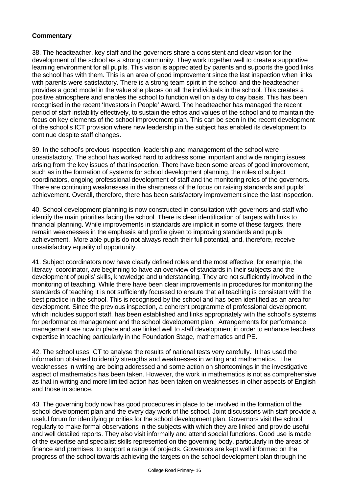# **Commentary**

38. The headteacher, key staff and the governors share a consistent and clear vision for the development of the school as a strong community. They work together well to create a supportive learning environment for all pupils. This vision is appreciated by parents and supports the good links the school has with them. This is an area of good improvement since the last inspection when links with parents were satisfactory. There is a strong team spirit in the school and the headteacher provides a good model in the value she places on all the individuals in the school. This creates a positive atmosphere and enables the school to function well on a day to day basis. This has been recognised in the recent 'Investors in People' Award. The headteacher has managed the recent period of staff instability effectively, to sustain the ethos and values of the school and to maintain the focus on key elements of the school improvement plan. This can be seen in the recent development of the school's ICT provision where new leadership in the subject has enabled its development to continue despite staff changes.

39. In the school's previous inspection, leadership and management of the school were unsatisfactory. The school has worked hard to address some important and wide ranging issues arising from the key issues of that inspection. There have been some areas of good improvement, such as in the formation of systems for school development planning, the roles of subject coordinators, ongoing professional development of staff and the monitoring roles of the governors. There are continuing weaknesses in the sharpness of the focus on raising standards and pupils' achievement. Overall, therefore, there has been satisfactory improvement since the last inspection.

40. School development planning is now constructed in consultation with governors and staff who identify the main priorities facing the school. There is clear identification of targets with links to financial planning. While improvements in standards are implicit in some of these targets, there remain weaknesses in the emphasis and profile given to improving standards and pupils' achievement. More able pupils do not always reach their full potential, and, therefore, receive unsatisfactory equality of opportunity.

41. Subject coordinators now have clearly defined roles and the most effective, for example, the literacy coordinator, are beginning to have an overview of standards in their subjects and the development of pupils' skills, knowledge and understanding. They are not sufficiently involved in the monitoring of teaching. While there have been clear improvements in procedures for monitoring the standards of teaching it is not sufficiently focussed to ensure that all teaching is consistent with the best practice in the school. This is recognised by the school and has been identified as an area for development. Since the previous inspection, a coherent programme of professional development, which includes support staff, has been established and links appropriately with the school's systems for performance management and the school development plan. Arrangements for performance management are now in place and are linked well to staff development in order to enhance teachers' expertise in teaching particularly in the Foundation Stage, mathematics and PE.

42. The school uses ICT to analyse the results of national tests very carefully. It has used the information obtained to identify strengths and weaknesses in writing and mathematics. The weaknesses in writing are being addressed and some action on shortcomings in the investigative aspect of mathematics has been taken. However, the work in mathematics is not as comprehensive as that in writing and more limited action has been taken on weaknesses in other aspects of English and those in science.

43. The governing body now has good procedures in place to be involved in the formation of the school development plan and the every day work of the school. Joint discussions with staff provide a useful forum for identifying priorities for the school development plan. Governors visit the school regularly to make formal observations in the subjects with which they are linked and provide useful and well detailed reports. They also visit informally and attend special functions. Good use is made of the expertise and specialist skills represented on the governing body, particularly in the areas of finance and premises, to support a range of projects. Governors are kept well informed on the progress of the school towards achieving the targets on the school development plan through the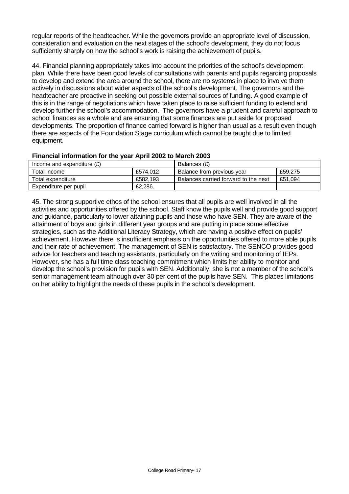regular reports of the headteacher. While the governors provide an appropriate level of discussion, consideration and evaluation on the next stages of the school's development, they do not focus sufficiently sharply on how the school's work is raising the achievement of pupils.

44. Financial planning appropriately takes into account the priorities of the school's development plan. While there have been good levels of consultations with parents and pupils regarding proposals to develop and extend the area around the school, there are no systems in place to involve them actively in discussions about wider aspects of the school's development. The governors and the headteacher are proactive in seeking out possible external sources of funding. A good example of this is in the range of negotiations which have taken place to raise sufficient funding to extend and develop further the school's accommodation. The governors have a prudent and careful approach to school finances as a whole and are ensuring that some finances are put aside for proposed developments. The proportion of finance carried forward is higher than usual as a result even though there are aspects of the Foundation Stage curriculum which cannot be taught due to limited equipment.

## **Financial information for the year April 2002 to March 2003**

| Income and expenditure $(E)$ |          | Balances (£)                         |         |
|------------------------------|----------|--------------------------------------|---------|
| Total income                 | £574.012 | Balance from previous year           | £59,275 |
| Total expenditure            | £582.193 | Balances carried forward to the next | £51.094 |
| Expenditure per pupil        | £2,286.  |                                      |         |

45. The strong supportive ethos of the school ensures that all pupils are well involved in all the activities and opportunities offered by the school. Staff know the pupils well and provide good support and guidance, particularly to lower attaining pupils and those who have SEN. They are aware of the attainment of boys and girls in different year groups and are putting in place some effective strategies, such as the Additional Literacy Strategy, which are having a positive effect on pupils' achievement. However there is insufficient emphasis on the opportunities offered to more able pupils and their rate of achievement. The management of SEN is satisfactory. The SENCO provides good advice for teachers and teaching assistants, particularly on the writing and monitoring of IEPs. However, she has a full time class teaching commitment which limits her ability to monitor and develop the school's provision for pupils with SEN. Additionally, she is not a member of the school's senior management team although over 30 per cent of the pupils have SEN. This places limitations on her ability to highlight the needs of these pupils in the school's development.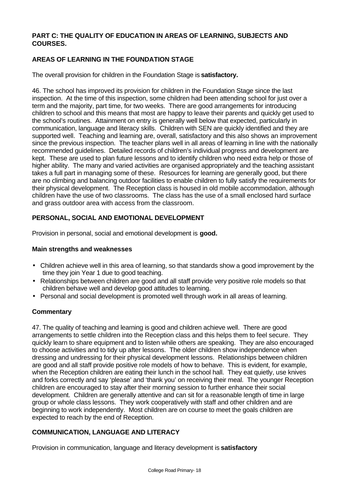## **PART C: THE QUALITY OF EDUCATION IN AREAS OF LEARNING, SUBJECTS AND COURSES.**

## **AREAS OF LEARNING IN THE FOUNDATION STAGE**

The overall provision for children in the Foundation Stage is **satisfactory.**

46. The school has improved its provision for children in the Foundation Stage since the last inspection. At the time of this inspection, some children had been attending school for just over a term and the majority, part time, for two weeks. There are good arrangements for introducing children to school and this means that most are happy to leave their parents and quickly get used to the school's routines. Attainment on entry is generally well below that expected, particularly in communication, language and literacy skills. Children with SEN are quickly identified and they are supported well. Teaching and learning are, overall, satisfactory and this also shows an improvement since the previous inspection. The teacher plans well in all areas of learning in line with the nationally recommended guidelines. Detailed records of children's individual progress and development are kept. These are used to plan future lessons and to identify children who need extra help or those of higher ability. The many and varied activities are organised appropriately and the teaching assistant takes a full part in managing some of these. Resources for learning are generally good, but there are no climbing and balancing outdoor facilities to enable children to fully satisfy the requirements for their physical development. The Reception class is housed in old mobile accommodation, although children have the use of two classrooms. The class has the use of a small enclosed hard surface and grass outdoor area with access from the classroom.

## **PERSONAL, SOCIAL AND EMOTIONAL DEVELOPMENT**

Provision in personal, social and emotional development is **good.**

#### **Main strengths and weaknesses**

- Children achieve well in this area of learning, so that standards show a good improvement by the time they join Year 1 due to good teaching.
- Relationships between children are good and all staff provide very positive role models so that children behave well and develop good attitudes to learning.
- Personal and social development is promoted well through work in all areas of learning.

## **Commentary**

47. The quality of teaching and learning is good and children achieve well. There are good arrangements to settle children into the Reception class and this helps them to feel secure. They quickly learn to share equipment and to listen while others are speaking. They are also encouraged to choose activities and to tidy up after lessons. The older children show independence when dressing and undressing for their physical development lessons. Relationships between children are good and all staff provide positive role models of how to behave. This is evident, for example, when the Reception children are eating their lunch in the school hall. They eat quietly, use knives and forks correctly and say 'please' and 'thank you' on receiving their meal. The younger Reception children are encouraged to stay after their morning session to further enhance their social development. Children are generally attentive and can sit for a reasonable length of time in large group or whole class lessons. They work cooperatively with staff and other children and are beginning to work independently. Most children are on course to meet the goals children are expected to reach by the end of Reception.

## **COMMUNICATION, LANGUAGE AND LITERACY**

Provision in communication, language and literacy development is **satisfactory**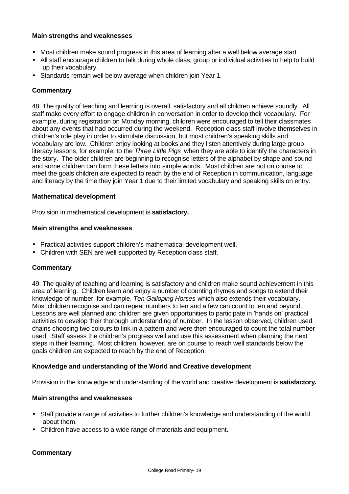## **Main strengths and weaknesses**

- Most children make sound progress in this area of learning after a well below average start.
- All staff encourage children to talk during whole class, group or individual activities to help to build up their vocabulary.
- Standards remain well below average when children join Year 1.

## **Commentary**

48. The quality of teaching and learning is overall, satisfactory and all children achieve soundly. All staff make every effort to engage children in conversation in order to develop their vocabulary. For example, during registration on Monday morning, children were encouraged to tell their classmates about any events that had occurred during the weekend. Reception class staff involve themselves in children's role play in order to stimulate discussion, but most children's speaking skills and vocabulary are low. Children enjoy looking at books and they listen attentively during large group literacy lessons, for example, to the *Three Little Pigs* when they are able to identify the characters in the story. The older children are beginning to recognise letters of the alphabet by shape and sound and some children can form these letters into simple words. Most children are not on course to meet the goals children are expected to reach by the end of Reception in communication, language and literacy by the time they join Year 1 due to their limited vocabulary and speaking skills on entry.

#### **Mathematical development**

Provision in mathematical development is **satisfactory.**

#### **Main strengths and weaknesses**

- Practical activities support children's mathematical development well.
- Children with SEN are well supported by Reception class staff.

## **Commentary**

49. The quality of teaching and learning is satisfactory and children make sound achievement in this area of learning. Children learn and enjoy a number of counting rhymes and songs to extend their knowledge of number, for example, *Ten Galloping Horses* which also extends their vocabulary. Most children recognise and can repeat numbers to ten and a few can count to ten and beyond. Lessons are well planned and children are given opportunities to participate in 'hands on' practical activities to develop their thorough understanding of number. In the lesson observed, children used chains choosing two colours to link in a pattern and were then encouraged to count the total number used. Staff assess the children's progress well and use this assessment when planning the next steps in their learning. Most children, however, are on course to reach well standards below the goals children are expected to reach by the end of Reception.

#### **Knowledge and understanding of the World and Creative development**

Provision in the knowledge and understanding of the world and creative development is **satisfactory.**

#### **Main strengths and weaknesses**

- Staff provide a range of activities to further children's knowledge and understanding of the world about them.
- Children have access to a wide range of materials and equipment.

## **Commentary**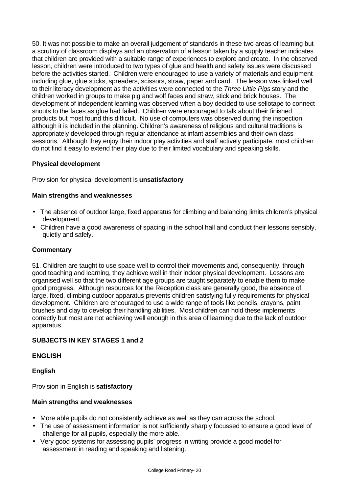50. It was not possible to make an overall judgement of standards in these two areas of learning but a scrutiny of classroom displays and an observation of a lesson taken by a supply teacher indicates that children are provided with a suitable range of experiences to explore and create. In the observed lesson, children were introduced to two types of glue and health and safety issues were discussed before the activities started. Children were encouraged to use a variety of materials and equipment including glue, glue sticks, spreaders, scissors, straw, paper and card. The lesson was linked well to their literacy development as the activities were connected to the *Three Little Pigs* story and the children worked in groups to make pig and wolf faces and straw, stick and brick houses. The development of independent learning was observed when a boy decided to use sellotape to connect snouts to the faces as glue had failed. Children were encouraged to talk about their finished products but most found this difficult. No use of computers was observed during the inspection although it is included in the planning. Children's awareness of religious and cultural traditions is appropriately developed through regular attendance at infant assemblies and their own class sessions. Although they enjoy their indoor play activities and staff actively participate, most children do not find it easy to extend their play due to their limited vocabulary and speaking skills.

## **Physical development**

Provision for physical development is **unsatisfactory**

## **Main strengths and weaknesses**

- The absence of outdoor large, fixed apparatus for climbing and balancing limits children's physical development.
- Children have a good awareness of spacing in the school hall and conduct their lessons sensibly, quietly and safely.

#### **Commentary**

51. Children are taught to use space well to control their movements and, consequently, through good teaching and learning, they achieve well in their indoor physical development. Lessons are organised well so that the two different age groups are taught separately to enable them to make good progress. Although resources for the Reception class are generally good, the absence of large, fixed, climbing outdoor apparatus prevents children satisfying fully requirements for physical development. Children are encouraged to use a wide range of tools like pencils, crayons, paint brushes and clay to develop their handling abilities. Most children can hold these implements correctly but most are not achieving well enough in this area of learning due to the lack of outdoor apparatus.

## **SUBJECTS IN KEY STAGES 1 and 2**

## **ENGLISH**

#### **English**

Provision in English is **satisfactory**

#### **Main strengths and weaknesses**

- More able pupils do not consistently achieve as well as they can across the school.
- The use of assessment information is not sufficiently sharply focussed to ensure a good level of challenge for all pupils, especially the more able.
- Very good systems for assessing pupils' progress in writing provide a good model for assessment in reading and speaking and listening.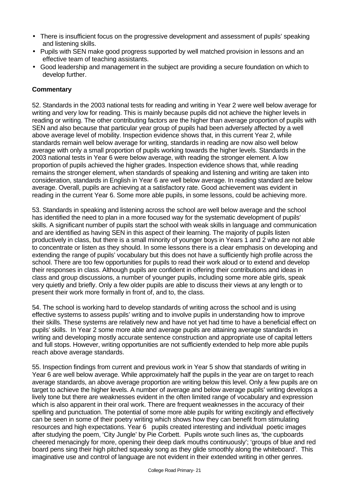- There is insufficient focus on the progressive development and assessment of pupils' speaking and listening skills.
- Pupils with SEN make good progress supported by well matched provision in lessons and an effective team of teaching assistants.
- Good leadership and management in the subject are providing a secure foundation on which to develop further.

## **Commentary**

52. Standards in the 2003 national tests for reading and writing in Year 2 were well below average for writing and very low for reading. This is mainly because pupils did not achieve the higher levels in reading or writing. The other contributing factors are the higher than average proportion of pupils with SEN and also because that particular year group of pupils had been adversely affected by a well above average level of mobility. Inspection evidence shows that, in this current Year 2, while standards remain well below average for writing, standards in reading are now also well below average with only a small proportion of pupils working towards the higher levels. Standards in the 2003 national tests in Year 6 were below average, with reading the stronger element. A low proportion of pupils achieved the higher grades. Inspection evidence shows that, while reading remains the stronger element, when standards of speaking and listening and writing are taken into consideration, standards in English in Year 6 are well below average. In reading standard are below average. Overall, pupils are achieving at a satisfactory rate. Good achievement was evident in reading in the current Year 6. Some more able pupils, in some lessons, could be achieving more.

53. Standards in speaking and listening across the school are well below average and the school has identified the need to plan in a more focused way for the systematic development of pupils' skills. A significant number of pupils start the school with weak skills in language and communication and are identified as having SEN in this aspect of their learning. The majority of pupils listen productively in class, but there is a small minority of younger boys in Years 1 and 2 who are not able to concentrate or listen as they should. In some lessons there is a clear emphasis on developing and extending the range of pupils' vocabulary but this does not have a sufficiently high profile across the school. There are too few opportunities for pupils to read their work aloud or to extend and develop their responses in class. Although pupils are confident in offering their contributions and ideas in class and group discussions, a number of younger pupils, including some more able girls, speak very quietly and briefly. Only a few older pupils are able to discuss their views at any length or to present their work more formally in front of, and to, the class.

54. The school is working hard to develop standards of writing across the school and is using effective systems to assess pupils' writing and to involve pupils in understanding how to improve their skills. These systems are relatively new and have not yet had time to have a beneficial effect on pupils' skills. In Year 2 some more able and average pupils are attaining average standards in writing and developing mostly accurate sentence construction and appropriate use of capital letters and full stops. However, writing opportunities are not sufficiently extended to help more able pupils reach above average standards.

55. Inspection findings from current and previous work in Year 5 show that standards of writing in Year 6 are well below average. While approximately half the pupils in the year are on target to reach average standards, an above average proportion are writing below this level. Only a few pupils are on target to achieve the higher levels. A number of average and below average pupils' writing develops a lively tone but there are weaknesses evident in the often limited range of vocabulary and expression which is also apparent in their oral work. There are frequent weaknesses in the accuracy of their spelling and punctuation. The potential of some more able pupils for writing excitingly and effectively can be seen in some of their poetry writing which shows how they can benefit from stimulating resources and high expectations. Year 6 pupils created interesting and individual poetic images after studying the poem, 'City Jungle' by Pie Corbett. Pupils wrote such lines as, 'the cupboards cheered menacingly for more, opening their deep dark mouths continuously'; 'groups of blue and red board pens sing their high pitched squeaky song as they glide smoothly along the whiteboard'. This imaginative use and control of language are not evident in their extended writing in other genres.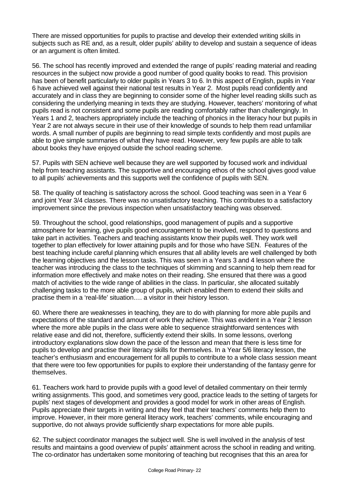There are missed opportunities for pupils to practise and develop their extended writing skills in subjects such as RE and, as a result, older pupils' ability to develop and sustain a sequence of ideas or an argument is often limited.

56. The school has recently improved and extended the range of pupils' reading material and reading resources in the subject now provide a good number of good quality books to read. This provision has been of benefit particularly to older pupils in Years 3 to 6. In this aspect of English, pupils in Year 6 have achieved well against their national test results in Year 2. Most pupils read confidently and accurately and in class they are beginning to consider some of the higher level reading skills such as considering the underlying meaning in texts they are studying. However, teachers' monitoring of what pupils read is not consistent and some pupils are reading comfortably rather than challengingly. In Years 1 and 2, teachers appropriately include the teaching of phonics in the literacy hour but pupils in Year 2 are not always secure in their use of their knowledge of sounds to help them read unfamiliar words. A small number of pupils are beginning to read simple texts confidently and most pupils are able to give simple summaries of what they have read. However, very few pupils are able to talk about books they have enjoyed outside the school reading scheme.

57. Pupils with SEN achieve well because they are well supported by focused work and individual help from teaching assistants. The supportive and encouraging ethos of the school gives good value to all pupils' achievements and this supports well the confidence of pupils with SEN.

58. The quality of teaching is satisfactory across the school. Good teaching was seen in a Year 6 and joint Year 3/4 classes. There was no unsatisfactory teaching. This contributes to a satisfactory improvement since the previous inspection when unsatisfactory teaching was observed.

59. Throughout the school, good relationships, good management of pupils and a supportive atmosphere for learning, give pupils good encouragement to be involved, respond to questions and take part in activities. Teachers and teaching assistants know their pupils well. They work well together to plan effectively for lower attaining pupils and for those who have SEN. Features of the best teaching include careful planning which ensures that all ability levels are well challenged by both the learning objectives and the lesson tasks. This was seen in a Years 3 and 4 lesson where the teacher was introducing the class to the techniques of skimming and scanning to help them read for information more effectively and make notes on their reading. She ensured that there was a good match of activities to the wide range of abilities in the class. In particular, she allocated suitably challenging tasks to the more able group of pupils, which enabled them to extend their skills and practise them in a 'real-life' situation…. a visitor in their history lesson.

60. Where there are weaknesses in teaching, they are to do with planning for more able pupils and expectations of the standard and amount of work they achieve. This was evident in a Year 2 lesson where the more able pupils in the class were able to sequence straightforward sentences with relative ease and did not, therefore, sufficiently extend their skills. In some lessons, overlong introductory explanations slow down the pace of the lesson and mean that there is less time for pupils to develop and practise their literacy skills for themselves. In a Year 5/6 literacy lesson, the teacher's enthusiasm and encouragement for all pupils to contribute to a whole class session meant that there were too few opportunities for pupils to explore their understanding of the fantasy genre for themselves.

61. Teachers work hard to provide pupils with a good level of detailed commentary on their termly writing assignments. This good, and sometimes very good, practice leads to the setting of targets for pupils' next stages of development and provides a good model for work in other areas of English. Pupils appreciate their targets in writing and they feel that their teachers' comments help them to improve. However, in their more general literacy work, teachers' comments, while encouraging and supportive, do not always provide sufficiently sharp expectations for more able pupils.

62. The subject coordinator manages the subject well. She is well involved in the analysis of test results and maintains a good overview of pupils' attainment across the school in reading and writing. The co-ordinator has undertaken some monitoring of teaching but recognises that this an area for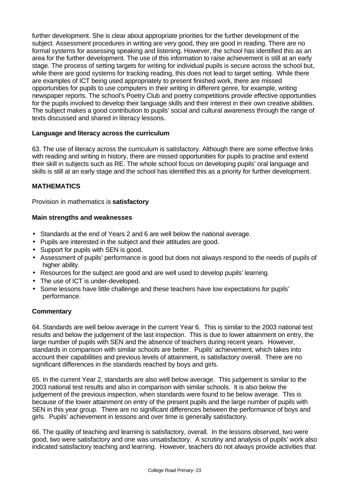further development. She is clear about appropriate priorities for the further development of the subject. Assessment procedures in writing are very good, they are good in reading. There are no formal systems for assessing speaking and listening. However, the school has identified this as an area for the further development. The use of this information to raise achievement is still at an early stage. The process of setting targets for writing for individual pupils is secure across the school but, while there are good systems for tracking reading, this does not lead to target setting. While there are examples of ICT being used appropriately to present finished work, there are missed opportunities for pupils to use computers in their writing in different genre, for example, writing newspaper reports. The school's Poetry Club and poetry competitions provide effective opportunities for the pupils involved to develop their language skills and their interest in their own creative abilities. The subject makes a good contribution to pupils' social and cultural awareness through the range of texts discussed and shared in literacy lessons.

## **Language and literacy across the curriculum**

63. The use of literacy across the curriculum is satisfactory. Although there are some effective links with reading and writing in history, there are missed opportunities for pupils to practise and extend their skill in subjects such as RE. The whole school focus on developing pupils' oral language and skills is still at an early stage and the school has identified this as a priority for further development.

## **MATHEMATICS**

Provision in mathematics is **satisfactory**

## **Main strengths and weaknesses**

- Standards at the end of Years 2 and 6 are well below the national average.
- Pupils are interested in the subject and their attitudes are good.
- Support for pupils with SEN is good.
- Assessment of pupils' performance is good but does not always respond to the needs of pupils of higher ability.
- Resources for the subject are good and are well used to develop pupils' learning.
- The use of ICT is under-developed.
- Some lessons have little challenge and these teachers have low expectations for pupils' performance.

## **Commentary**

64. Standards are well below average in the current Year 6. This is similar to the 2003 national test results and below the judgement of the last inspection. This is due to lower attainment on entry, the large number of pupils with SEN and the absence of teachers during recent years. However, standards in comparison with similar schools are better. Pupils' achievement, which takes into account their capabilities and previous levels of attainment, is satisfactory overall. There are no significant differences in the standards reached by boys and girls.

65. In the current Year 2, standards are also well below average. This judgement is similar to the 2003 national test results and also in comparison with similar schools. It is also below the judgement of the previous inspection, when standards were found to be below average. This is because of the lower attainment on entry of the present pupils and the large number of pupils with SEN in this year group. There are no significant differences between the performance of boys and girls. Pupils' achievement in lessons and over time is generally satisfactory.

66. The quality of teaching and learning is satisfactory, overall. In the lessons observed, two were good, two were satisfactory and one was unsatisfactory. A scrutiny and analysis of pupils' work also indicated satisfactory teaching and learning. However, teachers do not always provide activities that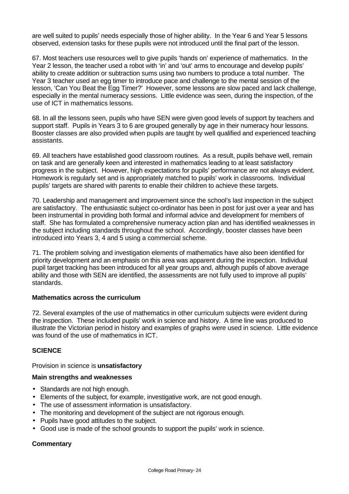are well suited to pupils' needs especially those of higher ability. In the Year 6 and Year 5 lessons observed, extension tasks for these pupils were not introduced until the final part of the lesson.

67. Most teachers use resources well to give pupils 'hands on' experience of mathematics. In the Year 2 lesson, the teacher used a robot with 'in' and 'out' arms to encourage and develop pupils' ability to create addition or subtraction sums using two numbers to produce a total number. The Year 3 teacher used an egg timer to introduce pace and challenge to the mental session of the lesson, 'Can You Beat the Egg Timer?' However, some lessons are slow paced and lack challenge, especially in the mental numeracy sessions. Little evidence was seen, during the inspection, of the use of ICT in mathematics lessons.

68. In all the lessons seen, pupils who have SEN were given good levels of support by teachers and support staff. Pupils in Years 3 to 6 are grouped generally by age in their numeracy hour lessons. Booster classes are also provided when pupils are taught by well qualified and experienced teaching assistants.

69. All teachers have established good classroom routines. As a result, pupils behave well, remain on task and are generally keen and interested in mathematics leading to at least satisfactory progress in the subject. However, high expectations for pupils' performance are not always evident. Homework is regularly set and is appropriately matched to pupils' work in classrooms. Individual pupils' targets are shared with parents to enable their children to achieve these targets.

70. Leadership and management and improvement since the school's last inspection in the subject are satisfactory. The enthusiastic subject co-ordinator has been in post for just over a year and has been instrumental in providing both formal and informal advice and development for members of staff. She has formulated a comprehensive numeracy action plan and has identified weaknesses in the subject including standards throughout the school. Accordingly, booster classes have been introduced into Years 3, 4 and 5 using a commercial scheme.

71. The problem solving and investigation elements of mathematics have also been identified for priority development and an emphasis on this area was apparent during the inspection. Individual pupil target tracking has been introduced for all year groups and, although pupils of above average ability and those with SEN are identified, the assessments are not fully used to improve all pupils' standards.

## **Mathematics across the curriculum**

72. Several examples of the use of mathematics in other curriculum subjects were evident during the inspection. These included pupils' work in science and history. A time line was produced to illustrate the Victorian period in history and examples of graphs were used in science. Little evidence was found of the use of mathematics in ICT.

## **SCIENCE**

Provision in science is **unsatisfactory**

#### **Main strengths and weaknesses**

- Standards are not high enough.
- Elements of the subject, for example, investigative work, are not good enough.
- The use of assessment information is unsatisfactory.
- The monitoring and development of the subject are not rigorous enough.
- Pupils have good attitudes to the subject.
- Good use is made of the school grounds to support the pupils' work in science.

## **Commentary**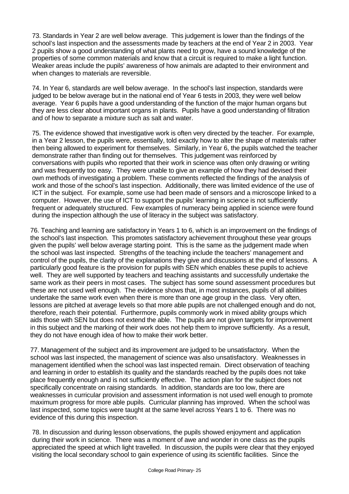73. Standards in Year 2 are well below average. This judgement is lower than the findings of the school's last inspection and the assessments made by teachers at the end of Year 2 in 2003. Year 2 pupils show a good understanding of what plants need to grow, have a sound knowledge of the properties of some common materials and know that a circuit is required to make a light function. Weaker areas include the pupils' awareness of how animals are adapted to their environment and when changes to materials are reversible.

74. In Year 6, standards are well below average. In the school's last inspection, standards were judged to be below average but in the national end of Year 6 tests in 2003, they were well below average. Year 6 pupils have a good understanding of the function of the major human organs but they are less clear about important organs in plants. Pupils have a good understanding of filtration and of how to separate a mixture such as salt and water.

75. The evidence showed that investigative work is often very directed by the teacher. For example, in a Year 2 lesson, the pupils were, essentially, told exactly how to alter the shape of materials rather then being allowed to experiment for themselves. Similarly, in Year 6, the pupils watched the teacher demonstrate rather than finding out for themselves. This judgement was reinforced by conversations with pupils who reported that their work in science was often only drawing or writing and was frequently too easy. They were unable to give an example of how they had devised their own methods of investigating a problem. These comments reflected the findings of the analysis of work and those of the school's last inspection. Additionally, there was limited evidence of the use of ICT in the subject. For example, some use had been made of sensors and a microscope linked to a computer. However, the use of ICT to support the pupils' learning in science is not sufficiently frequent or adequately structured. Few examples of numeracy being applied in science were found during the inspection although the use of literacy in the subject was satisfactory.

76. Teaching and learning are satisfactory in Years 1 to 6, which is an improvement on the findings of the school's last inspection. This promotes satisfactory achievement throughout these year groups given the pupils' well below average starting point. This is the same as the judgement made when the school was last inspected. Strengths of the teaching include the teachers' management and control of the pupils, the clarity of the explanations they give and discussions at the end of lessons. A particularly good feature is the provision for pupils with SEN which enables these pupils to achieve well. They are well supported by teachers and teaching assistants and successfully undertake the same work as their peers in most cases. The subject has some sound assessment procedures but these are not used well enough. The evidence shows that, in most instances, pupils of all abilities undertake the same work even when there is more than one age group in the class. Very often, lessons are pitched at average levels so that more able pupils are not challenged enough and do not, therefore, reach their potential. Furthermore, pupils commonly work in mixed ability groups which aids those with SEN but does not extend the able. The pupils are not given targets for improvement in this subject and the marking of their work does not help them to improve sufficiently. As a result, they do not have enough idea of how to make their work better.

77. Management of the subject and its improvement are judged to be unsatisfactory. When the school was last inspected, the management of science was also unsatisfactory. Weaknesses in management identified when the school was last inspected remain. Direct observation of teaching and learning in order to establish its quality and the standards reached by the pupils does not take place frequently enough and is not sufficiently effective. The action plan for the subject does not specifically concentrate on raising standards. In addition, standards are too low, there are weaknesses in curricular provision and assessment information is not used well enough to promote maximum progress for more able pupils. Curricular planning has improved. When the school was last inspected, some topics were taught at the same level across Years 1 to 6. There was no evidence of this during this inspection.

78. In discussion and during lesson observations, the pupils showed enjoyment and application during their work in science. There was a moment of awe and wonder in one class as the pupils appreciated the speed at which light travelled. In discussion, the pupils were clear that they enjoyed visiting the local secondary school to gain experience of using its scientific facilities. Since the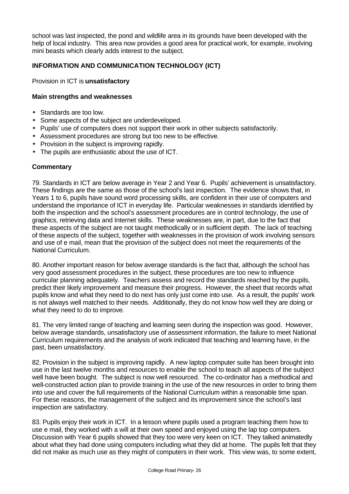school was last inspected, the pond and wildlife area in its grounds have been developed with the help of local industry. This area now provides a good area for practical work, for example, involving mini beasts which clearly adds interest to the subject.

## **INFORMATION AND COMMUNICATION TECHNOLOGY (ICT)**

Provision in ICT is **unsatisfactory**

#### **Main strengths and weaknesses**

- Standards are too low.
- Some aspects of the subject are underdeveloped.
- Pupils' use of computers does not support their work in other subjects satisfactorily.
- Assessment procedures are strong but too new to be effective.
- Provision in the subject is improving rapidly.
- The pupils are enthusiastic about the use of ICT.

#### **Commentary**

79. Standards in ICT are below average in Year 2 and Year 6. Pupils' achievement is unsatisfactory. These findings are the same as those of the school's last inspection. The evidence shows that, in Years 1 to 6, pupils have sound word processing skills, are confident in their use of computers and understand the importance of ICT in everyday life. Particular weaknesses in standards identified by both the inspection and the school's assessment procedures are in control technology, the use of graphics, retrieving data and Internet skills. These weaknesses are, in part, due to the fact that these aspects of the subject are not taught methodically or in sufficient depth. The lack of teaching of these aspects of the subject, together with weaknesses in the provision of work involving sensors and use of e mail, mean that the provision of the subject does not meet the requirements of the National Curriculum.

80. Another important reason for below average standards is the fact that, although the school has very good assessment procedures in the subject, these procedures are too new to influence curricular planning adequately. Teachers assess and record the standards reached by the pupils, predict their likely improvement and measure their progress. However, the sheet that records what pupils know and what they need to do next has only just come into use. As a result, the pupils' work is not always well matched to their needs. Additionally, they do not know how well they are doing or what they need to do to improve.

81. The very limited range of teaching and learning seen during the inspection was good. However, below average standards, unsatisfactory use of assessment information, the failure to meet National Curriculum requirements and the analysis of work indicated that teaching and learning have, in the past, been unsatisfactory.

82. Provision in the subject is improving rapidly. A new laptop computer suite has been brought into use in the last twelve months and resources to enable the school to teach all aspects of the subject well have been bought. The subject is now well resourced. The co-ordinator has a methodical and well-constructed action plan to provide training in the use of the new resources in order to bring them into use and cover the full requirements of the National Curriculum within a reasonable time span. For these reasons, the management of the subject and its improvement since the school's last inspection are satisfactory.

83. Pupils enjoy their work in ICT. In a lesson where pupils used a program teaching them how to use e mail, they worked with a will at their own speed and enjoyed using the lap top computers. Discussion with Year 6 pupils showed that they too were very keen on ICT. They talked animatedly about what they had done using computers including what they did at home. The pupils felt that they did not make as much use as they might of computers in their work. This view was, to some extent,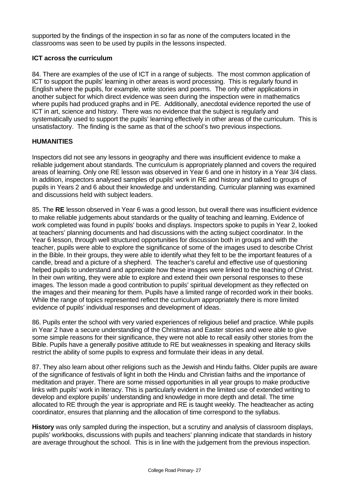supported by the findings of the inspection in so far as none of the computers located in the classrooms was seen to be used by pupils in the lessons inspected.

## **ICT across the curriculum**

84. There are examples of the use of ICT in a range of subjects. The most common application of ICT to support the pupils' learning in other areas is word processing. This is regularly found in English where the pupils, for example, write stories and poems. The only other applications in another subject for which direct evidence was seen during the inspection were in mathematics where pupils had produced graphs and in PE. Additionally, anecdotal evidence reported the use of ICT in art, science and history. There was no evidence that the subject is regularly and systematically used to support the pupils' learning effectively in other areas of the curriculum. This is unsatisfactory. The finding is the same as that of the school's two previous inspections.

## **HUMANITIES**

Inspectors did not see any lessons in geography and there was insufficient evidence to make a reliable judgement about standards. The curriculum is appropriately planned and covers the required areas of learning. Only one RE lesson was observed in Year 6 and one in history in a Year 3/4 class. In addition, inspectors analysed samples of pupils' work in RE and history and talked to groups of pupils in Years 2 and 6 about their knowledge and understanding. Curricular planning was examined and discussions held with subject leaders.

85. The **RE** lesson observed in Year 6 was a good lesson, but overall there was insufficient evidence to make reliable judgements about standards or the quality of teaching and learning. Evidence of work completed was found in pupils' books and displays. Inspectors spoke to pupils in Year 2, looked at teachers' planning documents and had discussions with the acting subject coordinator. In the Year 6 lesson, through well structured opportunities for discussion both in groups and with the teacher, pupils were able to explore the significance of some of the images used to describe Christ in the Bible. In their groups, they were able to identify what they felt to be the important features of a candle, bread and a picture of a shepherd. The teacher's careful and effective use of questioning helped pupils to understand and appreciate how these images were linked to the teaching of Christ. In their own writing, they were able to explore and extend their own personal responses to these images. The lesson made a good contribution to pupils' spiritual development as they reflected on the images and their meaning for them. Pupils have a limited range of recorded work in their books. While the range of topics represented reflect the curriculum appropriately there is more limited evidence of pupils' individual responses and development of ideas.

86. Pupils enter the school with very varied experiences of religious belief and practice. While pupils in Year 2 have a secure understanding of the Christmas and Easter stories and were able to give some simple reasons for their significance, they were not able to recall easily other stories from the Bible. Pupils have a generally positive attitude to RE but weaknesses in speaking and literacy skills restrict the ability of some pupils to express and formulate their ideas in any detail.

87. They also learn about other religions such as the Jewish and Hindu faiths. Older pupils are aware of the significance of festivals of light in both the Hindu and Christian faiths and the importance of meditation and prayer. There are some missed opportunities in all year groups to make productive links with pupils' work in literacy. This is particularly evident in the limited use of extended writing to develop and explore pupils' understanding and knowledge in more depth and detail. The time allocated to RE through the year is appropriate and RE is taught weekly. The headteacher as acting coordinator, ensures that planning and the allocation of time correspond to the syllabus.

**History** was only sampled during the inspection, but a scrutiny and analysis of classroom displays, pupils' workbooks, discussions with pupils and teachers' planning indicate that standards in history are average throughout the school. This is in line with the judgement from the previous inspection.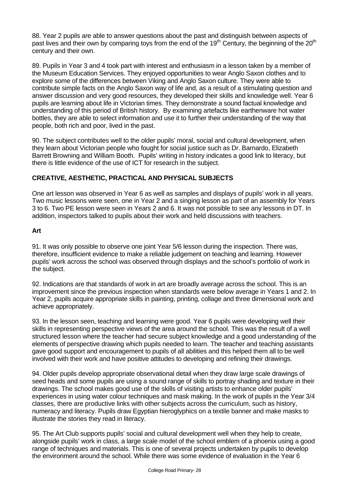88. Year 2 pupils are able to answer questions about the past and distinguish between aspects of past lives and their own by comparing toys from the end of the 19<sup>th</sup> Century, the beginning of the 20<sup>th</sup> century and their own.

89. Pupils in Year 3 and 4 took part with interest and enthusiasm in a lesson taken by a member of the Museum Education Services. They enjoyed opportunities to wear Anglo Saxon clothes and to explore some of the differences between Viking and Anglo Saxon culture. They were able to contribute simple facts on the Anglo Saxon way of life and, as a result of a stimulating question and answer discussion and very good resources, they developed their skills and knowledge well. Year 6 pupils are learning about life in Victorian times. They demonstrate a sound factual knowledge and understanding of this period of British history. By examining artefacts like earthenware hot water bottles, they are able to select information and use it to further their understanding of the way that people, both rich and poor, lived in the past.

90. The subject contributes well to the older pupils' moral, social and cultural development, when they learn about Victorian people who fought for social justice such as Dr. Barnardo, Elizabeth Barrett Browning and William Booth. Pupils' writing in history indicates a good link to literacy, but there is little evidence of the use of ICT for research in the subject.

## **CREATIVE, AESTHETIC, PRACTICAL AND PHYSICAL SUBJECTS**

One art lesson was observed in Year 6 as well as samples and displays of pupils' work in all years. Two music lessons were seen, one in Year 2 and a singing lesson as part of an assembly for Years 3 to 6. Two PE lesson were seen in Years 2 and 6. It was not possible to see any lessons in DT. In addition, inspectors talked to pupils about their work and held discussions with teachers.

#### **Art**

91. It was only possible to observe one joint Year 5/6 lesson during the inspection. There was, therefore, insufficient evidence to make a reliable judgement on teaching and learning. However pupils' work across the school was observed through displays and the school's portfolio of work in the subject.

92. Indications are that standards of work in art are broadly average across the school. This is an improvement since the previous inspection when standards were below average in Years 1 and 2. In Year 2, pupils acquire appropriate skills in painting, printing, collage and three dimensional work and achieve appropriately.

93. In the lesson seen, teaching and learning were good. Year 6 pupils were developing well their skills in representing perspective views of the area around the school. This was the result of a well structured lesson where the teacher had secure subject knowledge and a good understanding of the elements of perspective drawing which pupils needed to learn. The teacher and teaching assistants gave good support and encouragement to pupils of all abilities and this helped them all to be well involved with their work and have positive attitudes to developing and refining their drawings.

94. Older pupils develop appropriate observational detail when they draw large scale drawings of seed heads and some pupils are using a sound range of skills to portray shading and texture in their drawings. The school makes good use of the skills of visiting artists to enhance older pupils' experiences in using water colour techniques and mask making. In the work of pupils in the Year 3/4 classes, there are productive links with other subjects across the curriculum, such as history, numeracy and literacy. Pupils draw Egyptian hieroglyphics on a textile banner and make masks to illustrate the stories they read in literacy.

95. The Art Club supports pupils' social and cultural development well when they help to create, alongside pupils' work in class, a large scale model of the school emblem of a phoenix using a good range of techniques and materials. This is one of several projects undertaken by pupils to develop the environment around the school. While there was some evidence of evaluation in the Year 6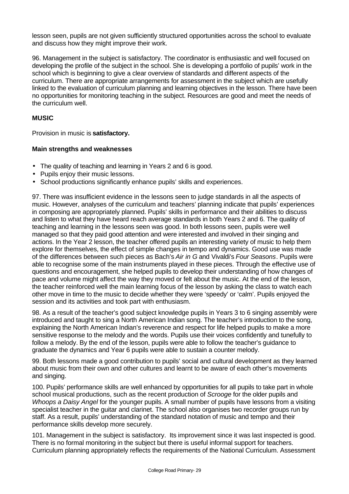lesson seen, pupils are not given sufficiently structured opportunities across the school to evaluate and discuss how they might improve their work.

96. Management in the subject is satisfactory. The coordinator is enthusiastic and well focused on developing the profile of the subject in the school. She is developing a portfolio of pupils' work in the school which is beginning to give a clear overview of standards and different aspects of the curriculum. There are appropriate arrangements for assessment in the subject which are usefully linked to the evaluation of curriculum planning and learning objectives in the lesson. There have been no opportunities for monitoring teaching in the subject. Resources are good and meet the needs of the curriculum well.

## **MUSIC**

Provision in music is **satisfactory.**

## **Main strengths and weaknesses**

- The quality of teaching and learning in Years 2 and 6 is good.
- Pupils enjoy their music lessons.
- School productions significantly enhance pupils' skills and experiences.

97. There was insufficient evidence in the lessons seen to judge standards in all the aspects of music. However, analyses of the curriculum and teachers' planning indicate that pupils' experiences in composing are appropriately planned. Pupils' skills in performance and their abilities to discuss and listen to what they have heard reach average standards in both Years 2 and 6. The quality of teaching and learning in the lessons seen was good. In both lessons seen, pupils were well managed so that they paid good attention and were interested and involved in their singing and actions. In the Year 2 lesson, the teacher offered pupils an interesting variety of music to help them explore for themselves, the effect of simple changes in tempo and dynamics. Good use was made of the differences between such pieces as Bach's *Air in G* and Vivaldi's *Four Seasons*. Pupils were able to recognise some of the main instruments played in these pieces. Through the effective use of questions and encouragement, she helped pupils to develop their understanding of how changes of pace and volume might affect the way they moved or felt about the music. At the end of the lesson, the teacher reinforced well the main learning focus of the lesson by asking the class to watch each other move in time to the music to decide whether they were 'speedy' or 'calm'. Pupils enjoyed the session and its activities and took part with enthusiasm.

98. As a result of the teacher's good subject knowledge pupils in Years 3 to 6 singing assembly were introduced and taught to sing a North American Indian song. The teacher's introduction to the song, explaining the North American Indian's reverence and respect for life helped pupils to make a more sensitive response to the melody and the words. Pupils use their voices confidently and tunefully to follow a melody. By the end of the lesson, pupils were able to follow the teacher's guidance to graduate the dynamics and Year 6 pupils were able to sustain a counter melody.

99. Both lessons made a good contribution to pupils' social and cultural development as they learned about music from their own and other cultures and learnt to be aware of each other's movements and singing.

100. Pupils' performance skills are well enhanced by opportunities for all pupils to take part in whole school musical productions, such as the recent production of *Scrooge* for the older pupils and *Whoops a Daisy Angel* for the younger pupils. A small number of pupils have lessons from a visiting specialist teacher in the guitar and clarinet. The school also organises two recorder groups run by staff. As a result, pupils' understanding of the standard notation of music and tempo and their performance skills develop more securely.

101. Management in the subject is satisfactory. Its improvement since it was last inspected is good. There is no formal monitoring in the subject but there is useful informal support for teachers. Curriculum planning appropriately reflects the requirements of the National Curriculum. Assessment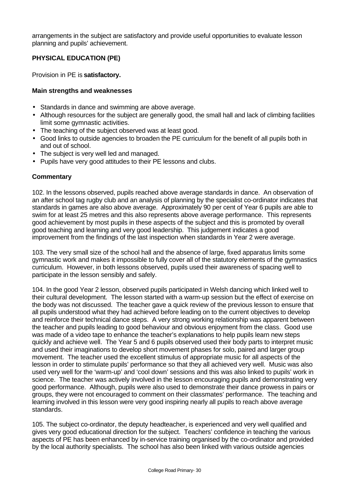arrangements in the subject are satisfactory and provide useful opportunities to evaluate lesson planning and pupils' achievement.

# **PHYSICAL EDUCATION (PE)**

Provision in PE is **satisfactory.**

## **Main strengths and weaknesses**

- Standards in dance and swimming are above average.
- Although resources for the subject are generally good, the small hall and lack of climbing facilities limit some gymnastic activities.
- The teaching of the subject observed was at least good.
- Good links to outside agencies to broaden the PE curriculum for the benefit of all pupils both in and out of school.
- The subject is very well led and managed.
- Pupils have very good attitudes to their PE lessons and clubs.

## **Commentary**

102. In the lessons observed, pupils reached above average standards in dance. An observation of an after school tag rugby club and an analysis of planning by the specialist co-ordinator indicates that standards in games are also above average. Approximately 90 per cent of Year 6 pupils are able to swim for at least 25 metres and this also represents above average performance. This represents good achievement by most pupils in these aspects of the subject and this is promoted by overall good teaching and learning and very good leadership. This judgement indicates a good improvement from the findings of the last inspection when standards in Year 2 were average.

103. The very small size of the school hall and the absence of large, fixed apparatus limits some gymnastic work and makes it impossible to fully cover all of the statutory elements of the gymnastics curriculum. However, in both lessons observed, pupils used their awareness of spacing well to participate in the lesson sensibly and safely.

104. In the good Year 2 lesson, observed pupils participated in Welsh dancing which linked well to their cultural development. The lesson started with a warm-up session but the effect of exercise on the body was not discussed. The teacher gave a quick review of the previous lesson to ensure that all pupils understood what they had achieved before leading on to the current objectives to develop and reinforce their technical dance steps. A very strong working relationship was apparent between the teacher and pupils leading to good behaviour and obvious enjoyment from the class. Good use was made of a video tape to enhance the teacher's explanations to help pupils learn new steps quickly and achieve well. The Year 5 and 6 pupils observed used their body parts to interpret music and used their imaginations to develop short movement phases for solo, paired and larger group movement. The teacher used the excellent stimulus of appropriate music for all aspects of the lesson in order to stimulate pupils' performance so that they all achieved very well. Music was also used very well for the 'warm-up' and 'cool down' sessions and this was also linked to pupils' work in science. The teacher was actively involved in the lesson encouraging pupils and demonstrating very good performance. Although, pupils were also used to demonstrate their dance prowess in pairs or groups, they were not encouraged to comment on their classmates' performance. The teaching and learning involved in this lesson were very good inspiring nearly all pupils to reach above average standards.

105. The subject co-ordinator, the deputy headteacher, is experienced and very well qualified and gives very good educational direction for the subject. Teachers' confidence in teaching the various aspects of PE has been enhanced by in-service training organised by the co-ordinator and provided by the local authority specialists. The school has also been linked with various outside agencies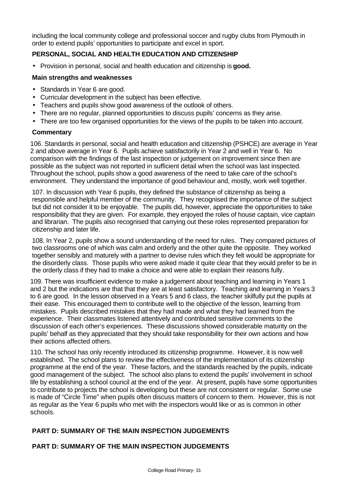including the local community college and professional soccer and rugby clubs from Plymouth in order to extend pupils' opportunities to participate and excel in sport.

## **PERSONAL, SOCIAL AND HEALTH EDUCATION AND CITIZENSHIP**

• Provision in personal, social and health education and citizenship is **good.**

#### **Main strengths and weaknesses**

- Standards in Year 6 are good.
- Curricular development in the subject has been effective.
- Teachers and pupils show good awareness of the outlook of others.
- There are no regular, planned opportunities to discuss pupils' concerns as they arise.
- There are too few organised opportunities for the views of the pupils to be taken into account.

#### **Commentary**

106. Standards in personal, social and health education and citizenship (PSHCE) are average in Year 2 and above average in Year 6. Pupils achieve satisfactorily in Year 2 and well in Year 6. No comparison with the findings of the last inspection or judgement on improvement since then are possible as the subject was not reported in sufficient detail when the school was last inspected. Throughout the school, pupils show a good awareness of the need to take care of the school's environment. They understand the importance of good behaviour and, mostly, work well together.

107. In discussion with Year 6 pupils, they defined the substance of citizenship as being a responsible and helpful member of the community. They recognised the importance of the subject but did not consider it to be enjoyable. The pupils did, however, appreciate the opportunities to take responsibility that they are given. For example, they enjoyed the roles of house captain, vice captain and librarian. The pupils also recognised that carrying out these roles represented preparation for citizenship and later life.

108. In Year 2, pupils show a sound understanding of the need for rules. They compared pictures of two classrooms one of which was calm and orderly and the other quite the opposite. They worked together sensibly and maturely with a partner to devise rules which they felt would be appropriate for the disorderly class. Those pupils who were asked made it quite clear that they would prefer to be in the orderly class if they had to make a choice and were able to explain their reasons fully.

109. There was insufficient evidence to make a judgement about teaching and learning in Years 1 and 2 but the indications are that that they are at least satisfactory. Teaching and learning in Years 3 to 6 are good. In the lesson observed in a Years 5 and 6 class, the teacher skilfully put the pupils at their ease. This encouraged them to contribute well to the objective of the lesson, learning from mistakes. Pupils described mistakes that they had made and what they had learned from the experience. Their classmates listened attentively and contributed sensitive comments to the discussion of each other's experiences. These discussions showed considerable maturity on the pupils' behalf as they appreciated that they should take responsibility for their own actions and how their actions affected others.

110. The school has only recently introduced its citizenship programme. However, it is now well established. The school plans to review the effectiveness of the implementation of its citizenship programme at the end of the year. These factors, and the standards reached by the pupils, indicate good management of the subject. The school also plans to extend the pupils' involvement in school life by establishing a school council at the end of the year. At present, pupils have some opportunities to contribute to projects the school is developing but these are not consistent or regular. Some use is made of "Circle Time" when pupils often discuss matters of concern to them. However, this is not as regular as the Year 6 pupils who met with the inspectors would like or as is common in other schools.

## **PART D: SUMMARY OF THE MAIN INSPECTION JUDGEMENTS**

## **PART D: SUMMARY OF THE MAIN INSPECTION JUDGEMENTS**